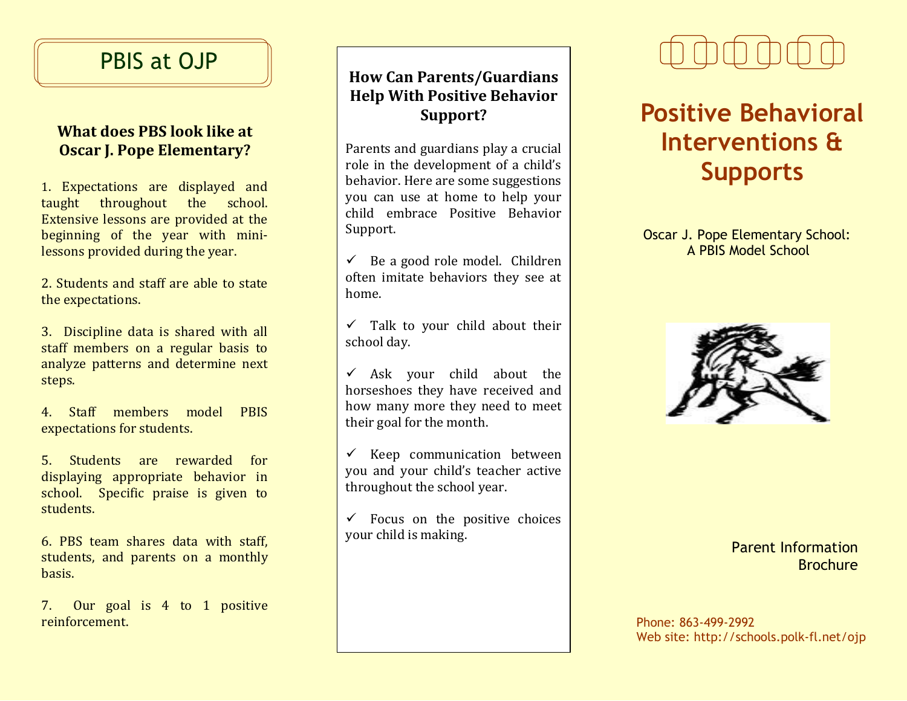## PBIS at OJP

### **What does PBS look like at Oscar J. Pope Elementary?**

1. Expectations are displayed and taught throughout the school. Extensive lessons are provided at the beginning of the year with minilessons provided during the year.

2. Students and staff are able to state the expectations.

3. Discipline data is shared with all staff members on a regular basis to analyze patterns and determine next steps.

4. Staff members model PBIS expectations for students.

5. Students are rewarded for displaying appropriate behavior in school. Specific praise is given to students.

6. PBS team shares data with staff, students, and parents on a monthly basis.

7. Our goal is 4 to 1 positive reinforcement. Phone: 863-499-2992

### **How Can Parents/Guardians Help With Positive Behavior Support?**

Parents and guardians play a crucial role in the development of a child's behavior. Here are some suggestions you can use at home to help your child embrace Positive Behavior Support.

 $\checkmark$  Be a good role model. Children often imitate behaviors they see at home.

 $\checkmark$  Talk to your child about their school day.

 $\checkmark$  Ask your child about the horseshoes they have received and how many more they need to meet their goal for the month.

 $\checkmark$  Keep communication between you and your child's teacher active throughout the school year.

 $\checkmark$  Focus on the positive choices your child is making.



# **Positive Behavioral Interventions & Supports**

Oscar J. Pope Elementary School: A PBIS Model School



#### Parent Information Brochure

Web site: http://schools.polk-fl.net/ojp